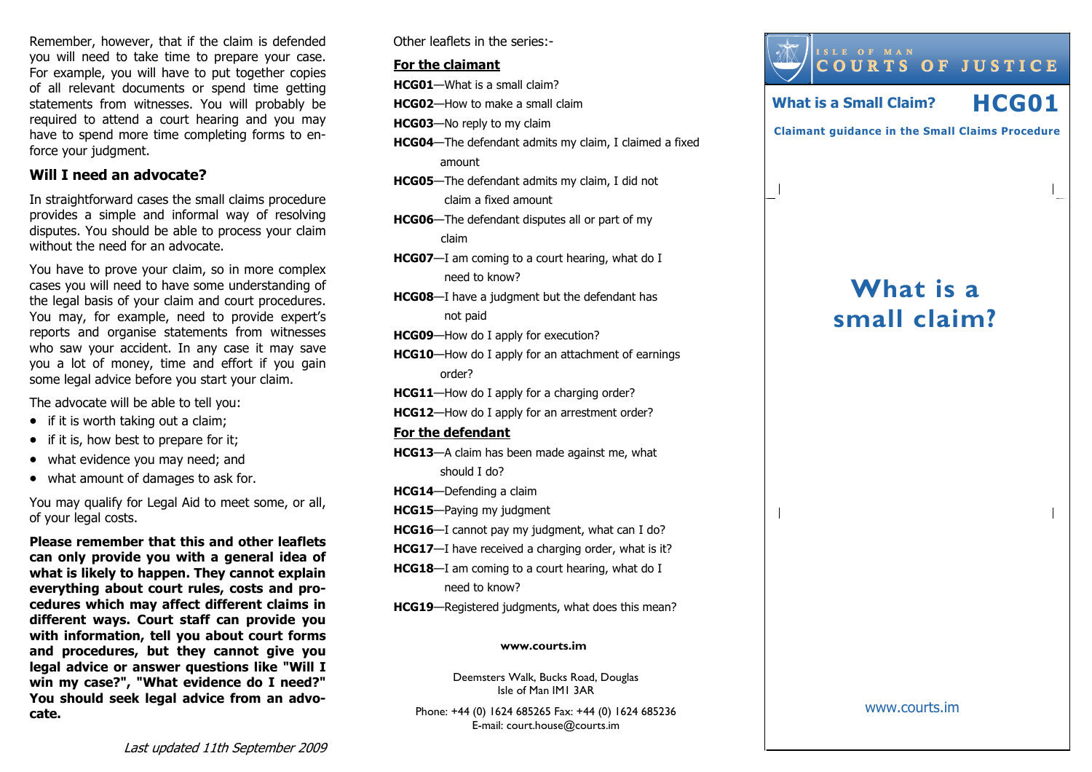Remember, however, that if the claim is defended you will need to take time to prepare your case. For example, you will have to put together copies of all relevant documents or spend time getting statements from witnesses. You will probably be required to attend a court hearing and you may have to spend more time completing forms to enforce your judgment.

### Will I need an advocate?

In straightforward cases the small claims procedure provides a simple and informal way of resolving disputes. You should be able to process your claim without the need for an advocate.

You have to prove your claim, so in more complex cases you will need to have some understanding of the legal basis of your claim and court procedures. You may, for example, need to provide expert's reports and organise statements from witnesses who saw your accident. In any case it may save you a lot of money, time and effort if you gain some legal advice before you start your claim.

The advocate will be able to tell you:

- if it is worth taking out a claim;
- if it is, how best to prepare for it;
- what evidence you may need; and
- what amount of damages to ask for.

You may qualify for Legal Aid to meet some, or all,of your legal costs.

Please remember that this and other leaflets can only provide you with a general idea of what is likely to happen. They cannot explain everything about court rules, costs and procedures which may affect different claims in different ways. Court staff can provide you with information, tell you about court forms and procedures, but they cannot give you legal advice or answer questions like "Will I win my case?", "What evidence do I need?" You should seek legal advice from an advocate.

Other leaflets in the series:-

#### For the claimant

HCG01—What is a small claim?

HCG02—How to make a small claim

HCG03—No reply to my claim

- HCG04—The defendant admits my claim, I claimed a fixed amount
- HCG05—The defendant admits my claim, I did not claim a fixed amount
- HCG06—The defendant disputes all or part of my claim
- HCG07—I am coming to a court hearing, what do I need to know?
- **HCG08**—I have a judgment but the defendant has not paid
- HCG09—How do I apply for execution?
- HCG10—How do I apply for an attachment of earnings order?

HCG11—How do I apply for a charging order?

HCG12—How do I apply for an arrestment order?

#### For the defendant

- HCG13—A claim has been made against me, what should I do?
- HCG14—Defending a claim
- HCG15—Paying my judgment
- HCG16—I cannot pay my judgment, what can I do?
- HCG17-I have received a charging order, what is it?
- HCG18—I am coming to a court hearing, what do I need to know?
- HCG19—Registered judgments, what does this mean?

#### www.courts.im

Deemsters Walk, Bucks Road, Douglas Isle of Man IM1 3AR

Phone: +44 (0) 1624 685265 Fax: +44 (0) 1624 685236E-mail: court.house@courts.im



www.courts.im